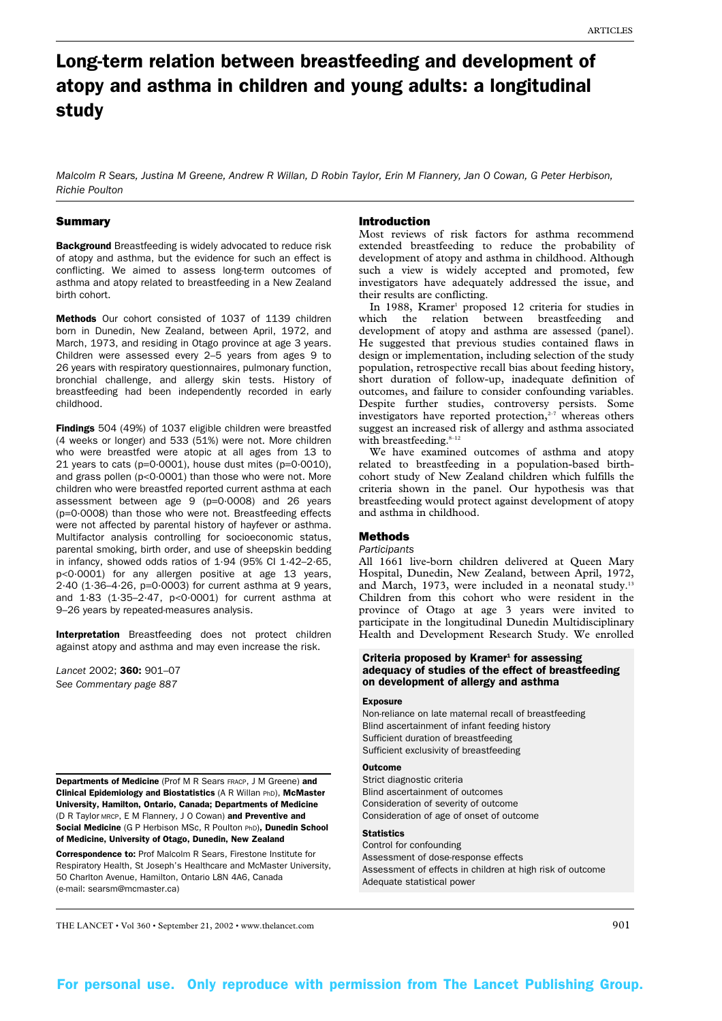# Long-term relation between breastfeeding and development of atopy and asthma in children and young adults: a longitudinal study

*Malcolm R Sears, Justina M Greene, Andrew R Willan, D Robin Taylor, Erin M Flannery, Jan O Cowan, G Peter Herbison, Richie Poulton*

## Summary

Background Breastfeeding is widely advocated to reduce risk of atopy and asthma, but the evidence for such an effect is conflicting. We aimed to assess long-term outcomes of asthma and atopy related to breastfeeding in a New Zealand birth cohort.

Methods Our cohort consisted of 1037 of 1139 children born in Dunedin, New Zealand, between April, 1972, and March, 1973, and residing in Otago province at age 3 years. Children were assessed every 2–5 years from ages 9 to 26 years with respiratory questionnaires, pulmonary function, bronchial challenge, and allergy skin tests. History of breastfeeding had been independently recorded in early childhood.

Findings 504 (49%) of 1037 eligible children were breastfed (4 weeks or longer) and 533 (51%) were not. More children who were breastfed were atopic at all ages from 13 to 21 years to cats (p=0·0001), house dust mites (p=0·0010), and grass pollen (p<0·0001) than those who were not. More children who were breastfed reported current asthma at each assessment between age 9 (p=0·0008) and 26 years (p=0·0008) than those who were not. Breastfeeding effects were not affected by parental history of hayfever or asthma. Multifactor analysis controlling for socioeconomic status, parental smoking, birth order, and use of sheepskin bedding in infancy, showed odds ratios of  $1.94$  (95% Cl  $1.42-2.65$ , p<0·0001) for any allergen positive at age 13 years, 2·40 (1·36–4·26, p=0·0003) for current asthma at 9 years, and 1·83 (1·35–2·47, p<0·0001) for current asthma at 9–26 years by repeated-measures analysis.

Interpretation Breastfeeding does not protect children against atopy and asthma and may even increase the risk.

*Lancet* 2002; 360: 901–07 *See Commentary page 887*

Departments of Medicine (Prof M R Sears FRACP, J M Greene) and Clinical Epidemiology and Biostatistics (A R Willan PhD), McMaster University, Hamilton, Ontario, Canada; Departments of Medicine (D R Taylor MRCP, E M Flannery, J O Cowan) and Preventive and Social Medicine (G P Herbison MSc, R Poulton PhD), Dunedin School of Medicine, University of Otago, Dunedin, New Zealand

Correspondence to: Prof Malcolm R Sears, Firestone Institute for Respiratory Health, St Joseph's Healthcare and McMaster University, 50 Charlton Avenue, Hamilton, Ontario L8N 4A6, Canada (e-mail: searsm@mcmaster.ca)

#### Introduction

Most reviews of risk factors for asthma recommend extended breastfeeding to reduce the probability of development of atopy and asthma in childhood. Although such a view is widely accepted and promoted, few investigators have adequately addressed the issue, and their results are conflicting.

In 1988, Kramer<sup>1</sup> proposed 12 criteria for studies in which the relation between breastfeeding and development of atopy and asthma are assessed (panel). He suggested that previous studies contained flaws in design or implementation, including selection of the study population, retrospective recall bias about feeding history, short duration of follow-up, inadequate definition of outcomes, and failure to consider confounding variables. Despite further studies, controversy persists. Some investigators have reported protection, $2-7$  whereas others suggest an increased risk of allergy and asthma associated with breastfeeding.  $\sp{s-12}$ 

We have examined outcomes of asthma and atopy related to breastfeeding in a population-based birthcohort study of New Zealand children which fulfills the criteria shown in the panel. Our hypothesis was that breastfeeding would protect against development of atopy and asthma in childhood.

# Methods

#### *Participants*

All 1661 live-born children delivered at Queen Mary Hospital, Dunedin, New Zealand, between April, 1972, and March, 1973, were included in a neonatal study.<sup>13</sup> Children from this cohort who were resident in the province of Otago at age 3 years were invited to participate in the longitudinal Dunedin Multidisciplinary Health and Development Research Study. We enrolled

## Criteria proposed by Kramer $1$  for assessing adequacy of studies of the effect of breastfeeding on development of allergy and asthma

#### **Exposure**

Non-reliance on late maternal recall of breastfeeding Blind ascertainment of infant feeding history Sufficient duration of breastfeeding Sufficient exclusivity of breastfeeding

# **Outcome**

Strict diagnostic criteria Blind ascertainment of outcomes Consideration of severity of outcome Consideration of age of onset of outcome

# **Statistics**

Control for confounding Assessment of dose-response effects Assessment of effects in children at high risk of outcome Adequate statistical power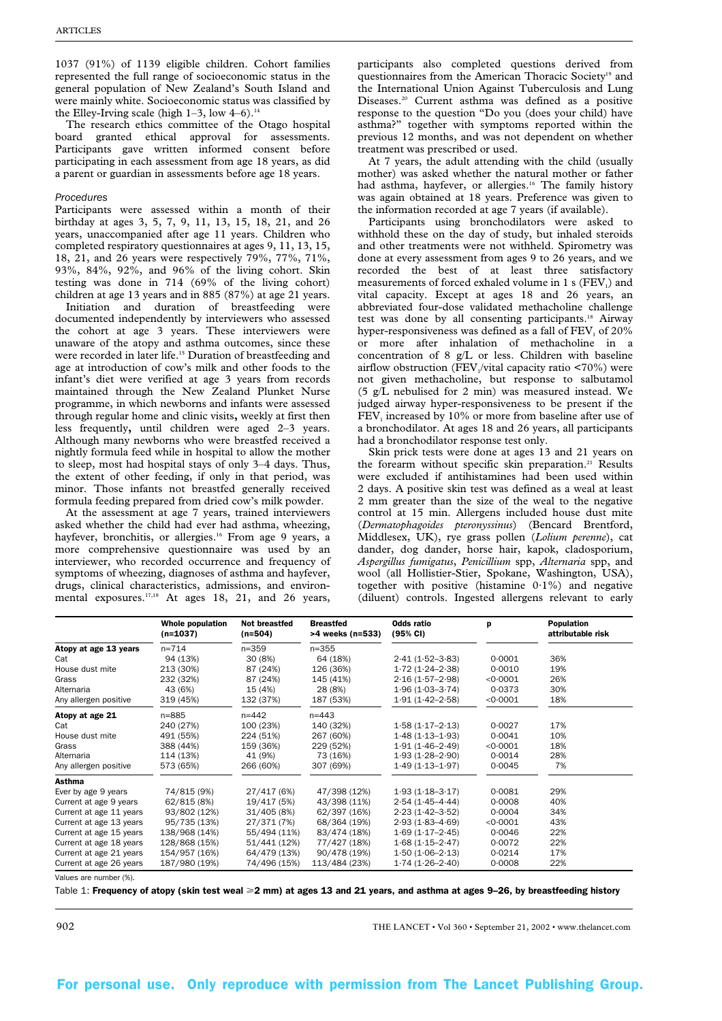1037 (91%) of 1139 eligible children. Cohort families represented the full range of socioeconomic status in the general population of New Zealand's South Island and were mainly white. Socioeconomic status was classified by the Elley-Irving scale (high  $1-3$ , low  $4-6$ ).<sup>14</sup>

The research ethics committee of the Otago hospital board granted ethical approval for assessments. Participants gave written informed consent before participating in each assessment from age 18 years, as did a parent or guardian in assessments before age 18 years.

#### *Procedures*

Participants were assessed within a month of their birthday at ages 3, 5, 7, 9, 11, 13, 15, 18, 21, and 26 years, unaccompanied after age 11 years. Children who completed respiratory questionnaires at ages 9, 11, 13, 15, 18, 21, and 26 years were respectively 79%, 77%, 71%, 93%, 84%, 92%, and 96% of the living cohort. Skin testing was done in 714 (69% of the living cohort) children at age 13 years and in 885 (87%) at age 21 years.

Initiation and duration of breastfeeding were documented independently by interviewers who assessed the cohort at age 3 years. These interviewers were unaware of the atopy and asthma outcomes, since these were recorded in later life.<sup>15</sup> Duration of breastfeeding and age at introduction of cow's milk and other foods to the infant's diet were verified at age 3 years from records maintained through the New Zealand Plunket Nurse programme, in which newborns and infants were assessed through regular home and clinic visits**,** weekly at first then less frequently**,** until children were aged 2–3 years. Although many newborns who were breastfed received a nightly formula feed while in hospital to allow the mother to sleep, most had hospital stays of only 3–4 days. Thus, the extent of other feeding, if only in that period, was minor. Those infants not breastfed generally received formula feeding prepared from dried cow's milk powder.

At the assessment at age 7 years, trained interviewers asked whether the child had ever had asthma, wheezing, hayfever, bronchitis, or allergies.<sup>16</sup> From age 9 years, a more comprehensive questionnaire was used by an interviewer, who recorded occurrence and frequency of symptoms of wheezing, diagnoses of asthma and hayfever, drugs, clinical characteristics, admissions, and environmental exposures.<sup>17,18</sup> At ages 18, 21, and 26 years,

participants also completed questions derived from questionnaires from the American Thoracic Society<sup>19</sup> and the International Union Against Tuberculosis and Lung Diseases.<sup>20</sup> Current asthma was defined as a positive response to the question "Do you (does your child) have asthma?" together with symptoms reported within the previous 12 months, and was not dependent on whether treatment was prescribed or used.

At 7 years, the adult attending with the child (usually mother) was asked whether the natural mother or father had asthma, hayfever, or allergies.<sup>16</sup> The family history was again obtained at 18 years. Preference was given to the information recorded at age 7 years (if available).

Participants using bronchodilators were asked to withhold these on the day of study, but inhaled steroids and other treatments were not withheld. Spirometry was done at every assessment from ages 9 to 26 years, and we recorded the best of at least three satisfactory measurements of forced exhaled volume in  $1 \text{ s}$  (FEV<sub>1</sub>) and vital capacity. Except at ages 18 and 26 years, an abbreviated four-dose validated methacholine challenge test was done by all consenting participants.<sup>18</sup> Airway hyper-responsiveness was defined as a fall of  $FEV$ , of  $20\%$ or more after inhalation of methacholine in a concentration of 8 g/L or less. Children with baseline airflow obstruction ( $\text{FEV}_1/\text{vital}$  capacity ratio <70%) were not given methacholine, but response to salbutamol (5 g/L nebulised for 2 min) was measured instead. We judged airway hyper-responsiveness to be present if the FEV<sub>1</sub> increased by 10% or more from baseline after use of a bronchodilator. At ages 18 and 26 years, all participants had a bronchodilator response test only.

Skin prick tests were done at ages 13 and 21 years on the forearm without specific skin preparation.<sup>21</sup> Results were excluded if antihistamines had been used within 2 days. A positive skin test was defined as a weal at least 2 mm greater than the size of the weal to the negative control at 15 min. Allergens included house dust mite (*Dermatophagoides pteronyssinus*) (Bencard Brentford, Middlesex, UK), rye grass pollen (*Lolium perenne*), cat dander, dog dander, horse hair, kapok, cladosporium, *Aspergillus fumigatus*, *Penicillium* spp, *Alternaria* spp, and wool (all Hollistier-Stier, Spokane, Washington, USA), together with positive (histamine  $0.1\%$ ) and negative (diluent) controls. Ingested allergens relevant to early

|                         | Whole population<br>$(n=1037)$ | Not breastfed<br>$(n=504)$ | <b>Breastfed</b><br>>4 weeks (n=533) | Odds ratio<br>(95% CI) | p        | Population<br>attributable risk |
|-------------------------|--------------------------------|----------------------------|--------------------------------------|------------------------|----------|---------------------------------|
| Atopy at age 13 years   | $n = 714$                      | $n = 359$                  | $n = 355$                            |                        |          |                                 |
| Cat                     | 94 (13%)                       | 30 (8%)                    | 64 (18%)                             | $2.41(1.52 - 3.83)$    | 0.0001   | 36%                             |
| House dust mite         | 213 (30%)                      | 87 (24%)                   | 126 (36%)                            | $1.72(1.24 - 2.38)$    | 0.0010   | 19%                             |
| Grass                   | 232 (32%)                      | 87 (24%)                   | 145 (41%)                            | $2.16(1.57-2.98)$      | < 0.0001 | 26%                             |
| Alternaria              | 43 (6%)                        | 15 (4%)                    | 28 (8%)                              | $1.96(1.03 - 3.74)$    | 0.0373   | 30%                             |
| Any allergen positive   | 319 (45%)                      | 132 (37%)                  | 187 (53%)                            | $1.91(1.42 - 2.58)$    | < 0.0001 | 18%                             |
| Atopy at age 21         | n=885                          | $n = 442$                  | $n = 443$                            |                        |          |                                 |
| Cat                     | 240 (27%)                      | 100 (23%)                  | 140 (32%)                            | $1.58(1.17-2.13)$      | 0.0027   | 17%                             |
| House dust mite         | 491 (55%)                      | 224 (51%)                  | 267 (60%)                            | $1.48(1.13 - 1.93)$    | 0.0041   | 10%                             |
| Grass                   | 388 (44%)                      | 159 (36%)                  | 229 (52%)                            | $1.91(1.46 - 2.49)$    | < 0.0001 | 18%                             |
| Alternaria              | 114 (13%)                      | 41 (9%)                    | 73 (16%)                             | $1.93(1.28 - 2.90)$    | 0.0014   | 28%                             |
| Any allergen positive   | 573 (65%)                      | 266 (60%)                  | 307 (69%)                            | $1.49(1.13 - 1.97)$    | 0.0045   | 7%                              |
| Asthma                  |                                |                            |                                      |                        |          |                                 |
| Ever by age 9 years     | 74/815 (9%)                    | 27/417 (6%)                | 47/398 (12%)                         | $1.93(1.18-3.17)$      | 0.0081   | 29%                             |
| Current at age 9 years  | 62/815 (8%)                    | 19/417 (5%)                | 43/398 (11%)                         | $2.54(1.45 - 4.44)$    | 0.0008   | 40%                             |
| Current at age 11 years | 93/802 (12%)                   | 31/405 (8%)                | 62/397 (16%)                         | $2.23(1.42 - 3.52)$    | 0.0004   | 34%                             |
| Current at age 13 years | 95/735 (13%)                   | 27/371 (7%)                | 68/364 (19%)                         | $2.93(1.83 - 4.69)$    | < 0.0001 | 43%                             |
| Current at age 15 years | 138/968 (14%)                  | 55/494 (11%)               | 83/474 (18%)                         | $1.69(1.17-2.45)$      | 0.0046   | 22%                             |
| Current at age 18 years | 128/868 (15%)                  | 51/441 (12%)               | 77/427 (18%)                         | $1.68(1.15 - 2.47)$    | 0.0072   | 22%                             |
| Current at age 21 years | 154/957 (16%)                  | 64/479 (13%)               | 90/478 (19%)                         | $1.50(1.06 - 2.13)$    | 0.0214   | 17%                             |
| Current at age 26 years | 187/980 (19%)                  | 74/496 (15%)               | 113/484 (23%)                        | $1.74(1.26 - 2.40)$    | 0.0008   | 22%                             |

Values are number (%).

Table 1: Frequency of atopy (skin test weal  $\geq 2$  mm) at ages 13 and 21 years, and asthma at ages 9–26, by breastfeeding history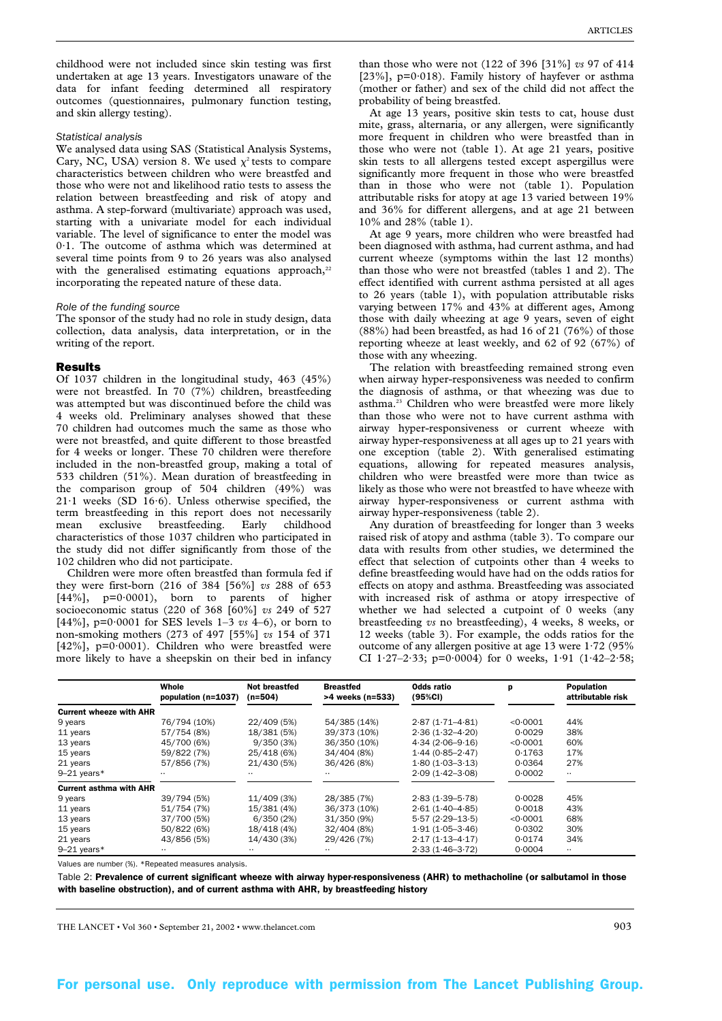childhood were not included since skin testing was first undertaken at age 13 years. Investigators unaware of the data for infant feeding determined all respiratory outcomes (questionnaires, pulmonary function testing, and skin allergy testing).

#### *Statistical analysis*

We analysed data using SAS (Statistical Analysis Systems, Cary, NC, USA) version 8. We used  $\chi^2$  tests to compare characteristics between children who were breastfed and those who were not and likelihood ratio tests to assess the relation between breastfeeding and risk of atopy and asthma. A step-forward (multivariate) approach was used, starting with a univariate model for each individual variable. The level of significance to enter the model was 0·1. The outcome of asthma which was determined at several time points from 9 to 26 years was also analysed with the generalised estimating equations approach, $22$ incorporating the repeated nature of these data.

## *Role of the funding source*

The sponsor of the study had no role in study design, data collection, data analysis, data interpretation, or in the writing of the report.

## Results

Of 1037 children in the longitudinal study, 463 (45%) were not breastfed. In 70 (7%) children, breastfeeding was attempted but was discontinued before the child was 4 weeks old. Preliminary analyses showed that these 70 children had outcomes much the same as those who were not breastfed, and quite different to those breastfed for 4 weeks or longer. These 70 children were therefore included in the non-breastfed group, making a total of 533 children (51%). Mean duration of breastfeeding in the comparison group of 504 children (49%) was  $21·1$  weeks (SD  $16·6$ ). Unless otherwise specified, the term breastfeeding in this report does not necessarily mean exclusive breastfeeding. Early childhood characteristics of those 1037 children who participated in the study did not differ significantly from those of the 102 children who did not participate.

Children were more often breastfed than formula fed if they were first-born (216 of 384 [56%] *vs* 288 of 653  $[44\%]$ , p=0.0001), born to parents of higher socioeconomic status (220 of 368 [60%] *vs* 249 of 527 [44%], p=0·0001 for SES levels 1–3 *vs* 4–6), or born to non-smoking mothers (273 of 497 [55%] *vs* 154 of 371 [42%],  $p=0.0001$ ). Children who were breastfed were more likely to have a sheepskin on their bed in infancy

than those who were not (122 of 396 [31%] *vs* 97 of 414 [ $23\%$ ], p=0·018). Family history of hayfever or asthma (mother or father) and sex of the child did not affect the probability of being breastfed.

At age 13 years, positive skin tests to cat, house dust mite, grass, alternaria, or any allergen, were significantly more frequent in children who were breastfed than in those who were not (table 1). At age 21 years, positive skin tests to all allergens tested except aspergillus were significantly more frequent in those who were breastfed than in those who were not (table 1). Population attributable risks for atopy at age 13 varied between 19% and 36% for different allergens, and at age 21 between 10% and 28% (table 1).

At age 9 years, more children who were breastfed had been diagnosed with asthma, had current asthma, and had current wheeze (symptoms within the last 12 months) than those who were not breastfed (tables 1 and 2). The effect identified with current asthma persisted at all ages to 26 years (table 1), with population attributable risks varying between 17% and 43% at different ages, Among those with daily wheezing at age 9 years, seven of eight (88%) had been breastfed, as had 16 of 21 (76%) of those reporting wheeze at least weekly, and 62 of 92 (67%) of those with any wheezing.

The relation with breastfeeding remained strong even when airway hyper-responsiveness was needed to confirm the diagnosis of asthma, or that wheezing was due to asthma.23 Children who were breastfed were more likely than those who were not to have current asthma with airway hyper-responsiveness or current wheeze with airway hyper-responsiveness at all ages up to 21 years with one exception (table 2). With generalised estimating equations, allowing for repeated measures analysis, children who were breastfed were more than twice as likely as those who were not breastfed to have wheeze with airway hyper-responsiveness or current asthma with airway hyper-responsiveness (table 2).

Any duration of breastfeeding for longer than 3 weeks raised risk of atopy and asthma (table 3). To compare our data with results from other studies, we determined the effect that selection of cutpoints other than 4 weeks to define breastfeeding would have had on the odds ratios for effects on atopy and asthma. Breastfeeding was associated with increased risk of asthma or atopy irrespective of whether we had selected a cutpoint of 0 weeks (any breastfeeding *vs* no breastfeeding), 4 weeks, 8 weeks, or 12 weeks (table 3). For example, the odds ratios for the outcome of any allergen positive at age 13 were  $1.72$  (95%) CI 1.27-2.33; p=0.0004) for 0 weeks, 1.91  $(1.42-2.58;$ 

|                                | Whole<br>population (n=1037) | <b>Not breastfed</b><br>$(n=504)$ | <b>Breastfed</b><br>>4 weeks (n=533) | Odds ratio<br>(95%CI) | р        | <b>Population</b><br>attributable risk |
|--------------------------------|------------------------------|-----------------------------------|--------------------------------------|-----------------------|----------|----------------------------------------|
| <b>Current wheeze with AHR</b> |                              |                                   |                                      |                       |          |                                        |
| 9 years                        | 76/794 (10%)                 | 22/409 (5%)                       | 54/385 (14%)                         | $2.87(1.71 - 4.81)$   | < 0.0001 | 44%                                    |
| 11 years                       | 57/754 (8%)                  | 18/381 (5%)                       | 39/373 (10%)                         | $2.36(1.32 - 4.20)$   | 0.0029   | 38%                                    |
| 13 years                       | 45/700 (6%)                  | 9/350(3%)                         | 36/350 (10%)                         | $4.34(2.06 - 9.16)$   | < 0.0001 | 60%                                    |
| 15 years                       | 59/822 (7%)                  | 25/418 (6%)                       | 34/404 (8%)                          | $1.44(0.85 - 2.47)$   | 0.1763   | 17%                                    |
| 21 years                       | 57/856 (7%)                  | 21/430 (5%)                       | 36/426 (8%)                          | $1.80(1.03 - 3.13)$   | 0.0364   | 27%                                    |
| $9-21$ years*                  |                              |                                   |                                      | $2.09(1.42 - 3.08)$   | 0.0002   |                                        |
| <b>Current asthma with AHR</b> |                              |                                   |                                      |                       |          |                                        |
| 9 years                        | 39/794 (5%)                  | 11/409 (3%)                       | 28/385 (7%)                          | $2.83(1.39 - 5.78)$   | 0.0028   | 45%                                    |
| 11 years                       | 51/754 (7%)                  | 15/381 (4%)                       | 36/373 (10%)                         | $2.61(1.40 - 4.85)$   | 0.0018   | 43%                                    |
| 13 years                       | 37/700 (5%)                  | 6/350(2%)                         | 31/350 (9%)                          | $5.57(2.29 - 13.5)$   | < 0.0001 | 68%                                    |
| 15 years                       | 50/822 (6%)                  | 18/418 (4%)                       | 32/404 (8%)                          | $1.91(1.05 - 3.46)$   | 0.0302   | 30%                                    |
| 21 years                       | 43/856 (5%)                  | 14/430 (3%)                       | 29/426 (7%)                          | $2.17(1.13 - 4.17)$   | 0.0174   | 34%                                    |
| $9-21$ years*                  |                              |                                   |                                      | $2.33(1.46-3.72)$     | 0.0004   |                                        |

Values are number (%). \*Repeated measures analysis.

Table 2: Prevalence of current significant wheeze with airway hyper-responsiveness (AHR) to methacholine (or salbutamol in those with baseline obstruction), and of current asthma with AHR, by breastfeeding history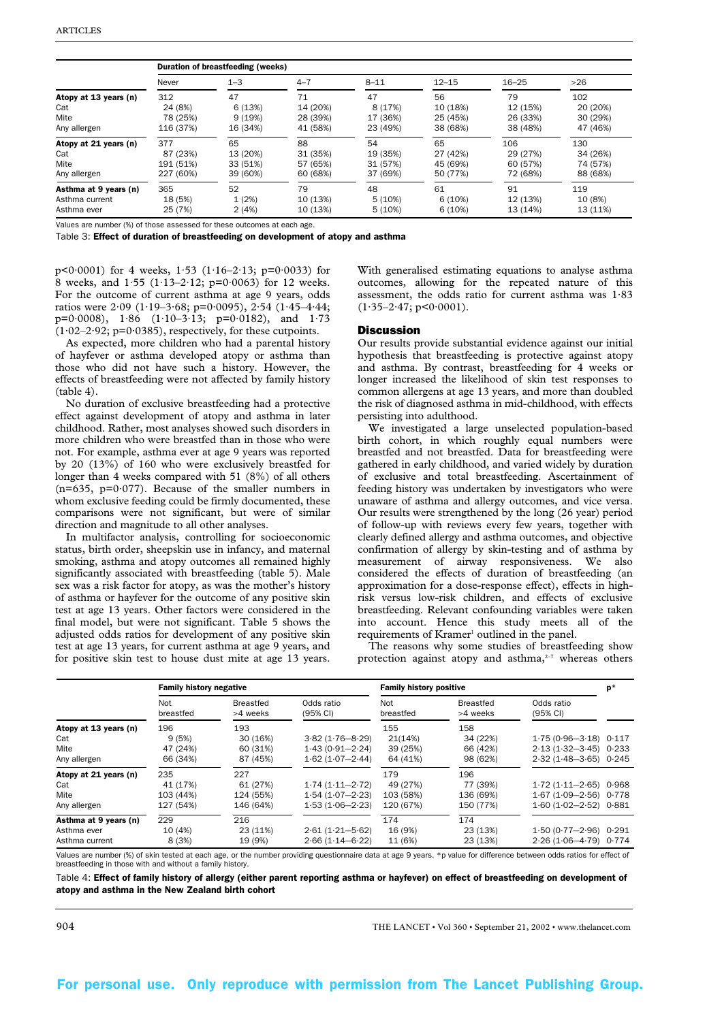|                       | Duration of breastfeeding (weeks) |          |          |          |           |           |          |  |  |  |
|-----------------------|-----------------------------------|----------|----------|----------|-----------|-----------|----------|--|--|--|
|                       | Never                             | $1 - 3$  | $4 - 7$  | $8 - 11$ | $12 - 15$ | $16 - 25$ | >26      |  |  |  |
| Atopy at 13 years (n) | 312                               | 47       | 71       | 47       | 56        | 79        | 102      |  |  |  |
| Cat                   | 24 (8%)                           | 6(13%)   | 14 (20%) | 8 (17%)  | 10 (18%)  | 12 (15%)  | 20 (20%) |  |  |  |
| Mite                  | 78 (25%)                          | 9(19%)   | 28 (39%) | 17 (36%) | 25 (45%)  | 26 (33%)  | 30 (29%) |  |  |  |
| Any allergen          | 116 (37%)                         | 16 (34%) | 41 (58%) | 23 (49%) | 38 (68%)  | 38 (48%)  | 47 (46%) |  |  |  |
| Atopy at 21 years (n) | 377                               | 65       | 88       | 54       | 65        | 106       | 130      |  |  |  |
| Cat                   | 87 (23%)                          | 13 (20%) | 31 (35%) | 19 (35%) | 27 (42%)  | 29 (27%)  | 34 (26%) |  |  |  |
| Mite                  | 191 (51%)                         | 33 (51%) | 57 (65%) | 31 (57%) | 45 (69%)  | 60 (57%)  | 74 (57%) |  |  |  |
| Any allergen          | 227 (60%)                         | 39 (60%) | 60 (68%) | 37 (69%) | 50 (77%)  | 72 (68%)  | 88 (68%) |  |  |  |
| Asthma at 9 years (n) | 365                               | 52       | 79       | 48       | 61        | 91        | 119      |  |  |  |
| Asthma current        | 18 (5%)                           | 1(2%)    | 10 (13%) | 5(10%)   | 6(10%)    | 12 (13%)  | 10 (8%)  |  |  |  |
| Asthma ever           | 25 (7%)                           | 2(4%)    | 10 (13%) | 5(10%)   | 6(10%)    | 13 (14%)  | 13 (11%) |  |  |  |

Values are number (%) of those assessed for these outcomes at each age.

Table 3: Effect of duration of breastfeeding on development of atopy and asthma

p<0.0001) for 4 weeks,  $1.53$  ( $1.16-2.13$ ; p=0.0033) for 8 weeks, and 1·55 (1·13–2·12; p=0·0063) for 12 weeks. For the outcome of current asthma at age 9 years, odds ratios were 2·09 (1·19–3·68; p=0·0095), 2·54 (1·45–4·44;  $p=0.0008$ ,  $1.86$   $(1.10-3.13; p=0.0182)$ , and  $1.73$  $(1.02-2.92; p=0.0385)$ , respectively, for these cutpoints.

As expected, more children who had a parental history of hayfever or asthma developed atopy or asthma than those who did not have such a history. However, the effects of breastfeeding were not affected by family history (table 4).

No duration of exclusive breastfeeding had a protective effect against development of atopy and asthma in later childhood. Rather, most analyses showed such disorders in more children who were breastfed than in those who were not. For example, asthma ever at age 9 years was reported by 20 (13%) of 160 who were exclusively breastfed for longer than 4 weeks compared with 51 (8%) of all others  $(n=635, p=0.077)$ . Because of the smaller numbers in whom exclusive feeding could be firmly documented, these comparisons were not significant, but were of similar direction and magnitude to all other analyses.

In multifactor analysis, controlling for socioeconomic status, birth order, sheepskin use in infancy, and maternal smoking, asthma and atopy outcomes all remained highly significantly associated with breastfeeding (table 5). Male sex was a risk factor for atopy, as was the mother's history of asthma or hayfever for the outcome of any positive skin test at age 13 years. Other factors were considered in the final model, but were not significant. Table 5 shows the adjusted odds ratios for development of any positive skin test at age 13 years, for current asthma at age 9 years, and for positive skin test to house dust mite at age 13 years. With generalised estimating equations to analyse asthma outcomes, allowing for the repeated nature of this assessment, the odds ratio for current asthma was 1·83  $(1.35-2.47; p<0.0001)$ .

### **Discussion**

Our results provide substantial evidence against our initial hypothesis that breastfeeding is protective against atopy and asthma. By contrast, breastfeeding for 4 weeks or longer increased the likelihood of skin test responses to common allergens at age 13 years, and more than doubled the risk of diagnosed asthma in mid-childhood, with effects persisting into adulthood.

We investigated a large unselected population-based birth cohort, in which roughly equal numbers were breastfed and not breastfed. Data for breastfeeding were gathered in early childhood, and varied widely by duration of exclusive and total breastfeeding. Ascertainment of feeding history was undertaken by investigators who were unaware of asthma and allergy outcomes, and vice versa. Our results were strengthened by the long (26 year) period of follow-up with reviews every few years, together with clearly defined allergy and asthma outcomes, and objective confirmation of allergy by skin-testing and of asthma by measurement of airway responsiveness. We also considered the effects of duration of breastfeeding (an approximation for a dose-response effect), effects in highrisk versus low-risk children, and effects of exclusive breastfeeding. Relevant confounding variables were taken into account. Hence this study meets all of the requirements of Kramer<sup>1</sup> outlined in the panel.

The reasons why some studies of breastfeeding show protection against atopy and asthma,<sup>2-7</sup> whereas others

|                       | <b>Family history negative</b> |                              |                        | <b>Family history positive</b> |                              |                             |  |
|-----------------------|--------------------------------|------------------------------|------------------------|--------------------------------|------------------------------|-----------------------------|--|
|                       | Not<br>breastfed               | <b>Breastfed</b><br>>4 weeks | Odds ratio<br>(95% CI) | Not<br>breastfed               | <b>Breastfed</b><br>>4 weeks | Odds ratio<br>(95% CI)      |  |
| Atopy at 13 years (n) | 196                            | 193                          |                        | 155                            | 158                          |                             |  |
| Cat                   | 9(5%)                          | 30 (16%)                     | $3.82(1.76 - 8.29)$    | 21(14%)                        | 34 (22%)                     | $1.75(0.96 - 3.18)$ $0.117$ |  |
| Mite                  | 47 (24%)                       | 60 (31%)                     | $1.43(0.91 - 2.24)$    | 39 (25%)                       | 66 (42%)                     | $2.13(1.32 - 3.45)$ 0.233   |  |
| Any allergen          | 66 (34%)                       | 87 (45%)                     | $1.62(1.07 - 2.44)$    | 64 (41%)                       | 98 (62%)                     | $2.32(1.48 - 3.65)$ 0.245   |  |
| Atopy at 21 years (n) | 235                            | 227                          |                        | 179                            | 196                          |                             |  |
| Cat                   | 41 (17%)                       | 61 (27%)                     | $1.74(1.11 - 2.72)$    | 49 (27%)                       | 77 (39%)                     | $1.72$ (1.11-2.65) 0.968    |  |
| Mite                  | 103 (44%)                      | 124 (55%)                    | $1.54(1.07 - 2.23)$    | 103 (58%)                      | 136 (69%)                    | $1.67(1.09 - 2.56)$ 0.778   |  |
| Any allergen          | 127 (54%)                      | 146 (64%)                    | $1.53(1.06 - 2.23)$    | 120 (67%)                      | 150 (77%)                    | $1.60(1.02 - 2.52)$ 0.881   |  |
| Asthma at 9 years (n) | 229                            | 216                          |                        | 174                            | 174                          |                             |  |
| Asthma ever           | 10 (4%)                        | 23 (11%)                     | $2.61(1.21 - 5.62)$    | 16 (9%)                        | 23 (13%)                     | $1.50(0.77 - 2.96)$ 0.291   |  |
| Asthma current        | 8 (3%)                         | 19 (9%)                      | $2.66(1.14 - 6.22)$    | 11 (6%)                        | 23 (13%)                     | 2.26 (1.06-4.79) 0.774      |  |

Values are number (%) of skin tested at each age, or the number providing questionnaire data at age 9 years. \*p value for difference between odds ratios for effect of breastfeeding in those with and without a family history.

Table 4: Effect of family history of allergy (either parent reporting asthma or hayfever) on effect of breastfeeding on development of atopy and asthma in the New Zealand birth cohort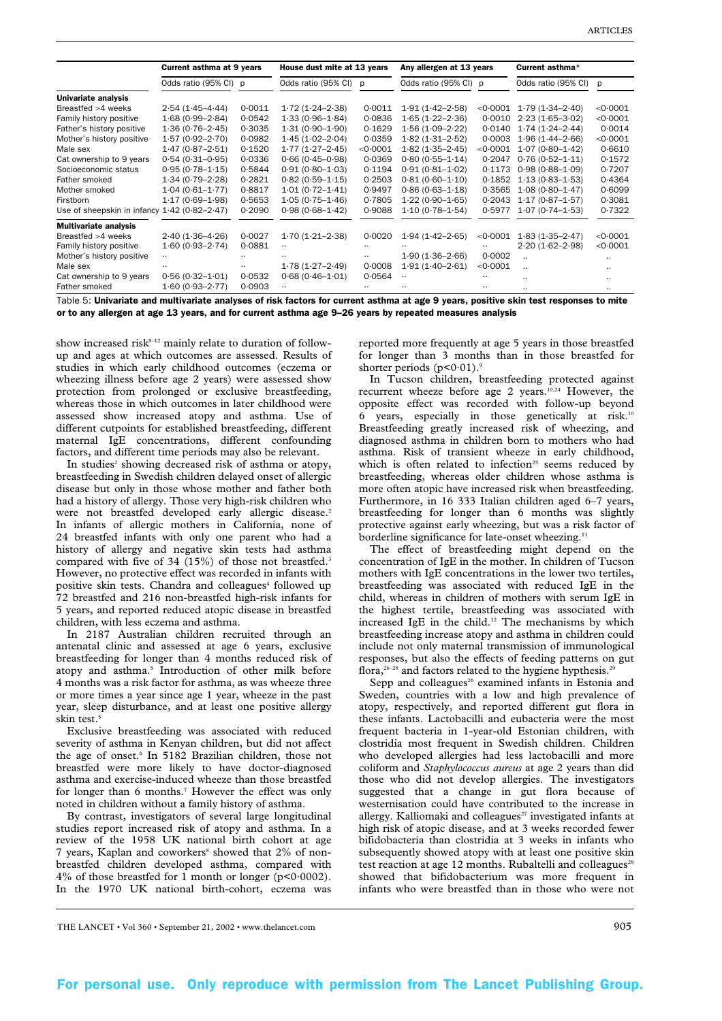|                                                | Current asthma at 9 years |          | House dust mite at 13 years |          | Any allergen at 13 years |          | Current asthma*      |          |
|------------------------------------------------|---------------------------|----------|-----------------------------|----------|--------------------------|----------|----------------------|----------|
|                                                | Odds ratio (95% CI) p     |          | Odds ratio (95% CI) p       |          | Odds ratio (95% CI) p    |          | Odds ratio (95% CI)  | p        |
| Univariate analysis                            |                           |          |                             |          |                          |          |                      |          |
| Breastfed >4 weeks                             | $2.54(1.45 - 4.44)$       | 0.0011   | $1.72(1.24 - 2.38)$         | 0.0011   | $1.91(1.42 - 2.58)$      | < 0.0001 | $1.79(1.34 - 2.40)$  | < 0.0001 |
| Family history positive                        | $1.68(0.99 - 2.84)$       | 0.0542   | $1.33(0.96 - 1.84)$         | 0.0836   | $1.65(1.22 - 2.36)$      | 0.0010   | $2.23(1.65 - 3.02)$  | < 0.0001 |
| Father's history positive                      | $1.36(0.76 - 2.45)$       | 0.3035   | $1.31(0.90 - 1.90)$         | 0.1629   | $1.56(1.09 - 2.22)$      | 0.0140   | $1.74(1.24 - 2.44)$  | 0.0014   |
| Mother's history positive                      | $1.57(0.92 - 2.70)$       | 0.0982   | $1.45(1.02 - 2.04)$         | 0.0359   | $1.82(1.31 - 2.52)$      | 0.0003   | $1.96(1.44 - 2.66)$  | < 0.0001 |
| Male sex                                       | $1.47(0.87 - 2.51)$       | 0.1520   | $1.77(1.27-2.45)$           | < 0.0001 | $1.82(1.35 - 2.45)$      | < 0.0001 | $1.07(0.80 - 1.42)$  | 0.6610   |
| Cat ownership to 9 years                       | $0.54(0.31 - 0.95)$       | 0.0336   | $0.66(0.45 - 0.98)$         | 0.0369   | $0.80(0.55 - 1.14)$      | 0.2047   | $0.76(0.52 - 1.11)$  | 0.1572   |
| Socioeconomic status                           | $0.95(0.78 - 1.15)$       | 0.5844   | $0.91(0.80 - 1.03)$         | 0.1194   | $0.91(0.81 - 1.02)$      | 0.1173   | $0.98(0.88 - 1.09)$  | 0.7207   |
| Father smoked                                  | $1.34(0.79 - 2.28)$       | 0.2821   | $0.82(0.59 - 1.15)$         | 0.2503   | $0.81(0.60 - 1.10)$      | 0.1852   | $1.13(0.83 - 1.53)$  | 0.4364   |
| Mother smoked                                  | $1.04(0.61 - 1.77)$       | 0.8817   | $1.01(0.72 - 1.41)$         | 0.9497   | $0.86(0.63 - 1.18)$      | 0.3565   | $1.08(0.80 - 1.47)$  | 0.6099   |
| Firstborn                                      | $1.17(0.69 - 1.98)$       | 0.5653   | $1.05(0.75 - 1.46)$         | 0.7805   | $1.22(0.90 - 1.65)$      | 0.2043   | $1.17(0.87 - 1.57)$  | 0.3081   |
| Use of sheepskin in infancy $1.42$ (0.82-2.47) |                           | 0.2090   | $0.98(0.68 - 1.42)$         | 0.9088   | $1.10(0.78 - 1.54)$      | 0.5977   | $1.07(0.74 - 1.53)$  | 0.7322   |
| <b>Multivariate analysis</b>                   |                           |          |                             |          |                          |          |                      |          |
| Breastfed >4 weeks                             | $2.40(1.36 - 4.26)$       | 0.0027   | $1.70(1.21 - 2.38)$         | 0.0020   | $1.94(1.42 - 2.65)$      | < 0.0001 | $1.83(1.35 - 2.47)$  | < 0.0001 |
| Family history positive                        | $1.60(0.93 - 2.74)$       | 0.0881   |                             |          |                          |          | $2.20(1.62 - 2.98)$  | < 0.0001 |
| Mother's history positive                      |                           |          |                             |          | $1.90(1.36 - 2.66)$      | 0.0002   | $\ddot{\phantom{a}}$ |          |
| Male sex                                       |                           | $\cdots$ | $1.78(1.27 - 2.49)$         | 0.0008   | $1.91(1.40 - 2.61)$      | < 0.0001 | $\ddot{\phantom{a}}$ |          |
| Cat ownership to 9 years                       | $0.56(0.32 - 1.01)$       | 0.0532   | $0.68(0.46 - 1.01)$         | 0.0564   | $\cdot$ .                |          |                      |          |
| Father smoked<br>- -<br>.                      | $1.60(0.93 - 2.77)$       | 0.0903   |                             |          |                          |          |                      |          |

Table 5: Univariate and multivariate analyses of risk factors for current asthma at age 9 years, positive skin test responses to mite or to any allergen at age 13 years, and for current asthma age 9–26 years by repeated measures analysis

show increased risk $8-12$  mainly relate to duration of followup and ages at which outcomes are assessed. Results of studies in which early childhood outcomes (eczema or wheezing illness before age 2 years) were assessed show protection from prolonged or exclusive breastfeeding, whereas those in which outcomes in later childhood were assessed show increased atopy and asthma. Use of different cutpoints for established breastfeeding, different maternal IgE concentrations, different confounding factors, and different time periods may also be relevant.

In studies<sup>2</sup> showing decreased risk of asthma or atopy, breastfeeding in Swedish children delayed onset of allergic disease but only in those whose mother and father both had a history of allergy. Those very high-risk children who were not breastfed developed early allergic disease.<sup>2</sup> In infants of allergic mothers in California, none of 24 breastfed infants with only one parent who had a history of allergy and negative skin tests had asthma compared with five of 34 (15%) of those not breastfed.<sup>3</sup> However, no protective effect was recorded in infants with positive skin tests. Chandra and colleagues<sup>4</sup> followed up 72 breastfed and 216 non-breastfed high-risk infants for 5 years, and reported reduced atopic disease in breastfed children, with less eczema and asthma.

In 2187 Australian children recruited through an antenatal clinic and assessed at age 6 years, exclusive breastfeeding for longer than 4 months reduced risk of atopy and asthma.<sup>5</sup> Introduction of other milk before 4 months was a risk factor for asthma, as was wheeze three or more times a year since age 1 year, wheeze in the past year, sleep disturbance, and at least one positive allergy skin test<sup>5</sup>

Exclusive breastfeeding was associated with reduced severity of asthma in Kenyan children, but did not affect the age of onset.<sup>6</sup> In 5182 Brazilian children, those not breastfed were more likely to have doctor-diagnosed asthma and exercise-induced wheeze than those breastfed for longer than 6 months.<sup>7</sup> However the effect was only noted in children without a family history of asthma.

By contrast, investigators of several large longitudinal studies report increased risk of atopy and asthma. In a review of the 1958 UK national birth cohort at age 7 years, Kaplan and coworkers<sup>8</sup> showed that 2% of nonbreastfed children developed asthma, compared with 4% of those breastfed for 1 month or longer ( $p<0.0002$ ). In the 1970 UK national birth-cohort, eczema was

reported more frequently at age 5 years in those breastfed for longer than 3 months than in those breastfed for shorter periods  $(p<0.01)$ .<sup>9</sup>

In Tucson children, breastfeeding protected against recurrent wheeze before age 2 years.<sup>10,24</sup> However, the opposite effect was recorded with follow-up beyond 6 years, especially in those genetically at risk.10 Breastfeeding greatly increased risk of wheezing, and diagnosed asthma in children born to mothers who had asthma. Risk of transient wheeze in early childhood, which is often related to infection $25$  seems reduced by breastfeeding, whereas older children whose asthma is more often atopic have increased risk when breastfeeding. Furthermore, in 16 333 Italian children aged 6–7 years, breastfeeding for longer than 6 months was slightly protective against early wheezing, but was a risk factor of borderline significance for late-onset wheezing.<sup>11</sup>

The effect of breastfeeding might depend on the concentration of IgE in the mother. In children of Tucson mothers with IgE concentrations in the lower two tertiles, breastfeeding was associated with reduced IgE in the child, whereas in children of mothers with serum IgE in the highest tertile, breastfeeding was associated with increased IgE in the child.12 The mechanisms by which breastfeeding increase atopy and asthma in children could include not only maternal transmission of immunological responses, but also the effects of feeding patterns on gut flora,<sup>26-28</sup> and factors related to the hygiene hypthesis.<sup>29</sup>

Sepp and colleagues<sup>26</sup> examined infants in Estonia and Sweden, countries with a low and high prevalence of atopy, respectively, and reported different gut flora in these infants. Lactobacilli and eubacteria were the most frequent bacteria in 1-year-old Estonian children, with clostridia most frequent in Swedish children. Children who developed allergies had less lactobacilli and more coliform and *Staphylococcus aureus* at age 2 years than did those who did not develop allergies. The investigators suggested that a change in gut flora because of westernisation could have contributed to the increase in allergy. Kalliomaki and colleagues<sup>27</sup> investigated infants at high risk of atopic disease, and at 3 weeks recorded fewer bifidobacteria than clostridia at 3 weeks in infants who subsequently showed atopy with at least one positive skin test reaction at age  $12$  months. Rubaltelli and colleagues<sup>28</sup> showed that bifidobacterium was more frequent in infants who were breastfed than in those who were not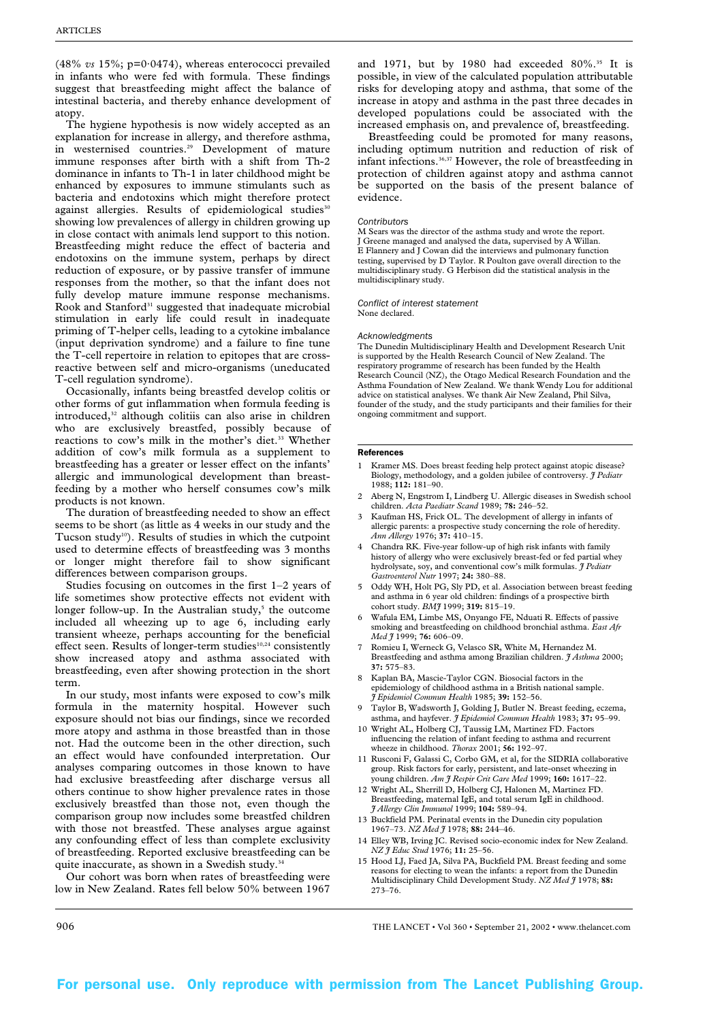(48% *vs* 15%; p=0·0474), whereas enterococci prevailed in infants who were fed with formula. These findings suggest that breastfeeding might affect the balance of intestinal bacteria, and thereby enhance development of atopy.

The hygiene hypothesis is now widely accepted as an explanation for increase in allergy, and therefore asthma, in westernised countries.29 Development of mature immune responses after birth with a shift from Th-2 dominance in infants to Th-1 in later childhood might be enhanced by exposures to immune stimulants such as bacteria and endotoxins which might therefore protect against allergies. Results of epidemiological studies<sup>30</sup> showing low prevalences of allergy in children growing up in close contact with animals lend support to this notion. Breastfeeding might reduce the effect of bacteria and endotoxins on the immune system, perhaps by direct reduction of exposure, or by passive transfer of immune responses from the mother, so that the infant does not fully develop mature immune response mechanisms. Rook and Stanford<sup>31</sup> suggested that inadequate microbial stimulation in early life could result in inadequate priming of T-helper cells, leading to a cytokine imbalance (input deprivation syndrome) and a failure to fine tune the T-cell repertoire in relation to epitopes that are crossreactive between self and micro-organisms (uneducated T-cell regulation syndrome).

Occasionally, infants being breastfed develop colitis or other forms of gut inflammation when formula feeding is introduced,<sup>32</sup> although colitiis can also arise in children who are exclusively breastfed, possibly because of reactions to cow's milk in the mother's diet.<sup>33</sup> Whether addition of cow's milk formula as a supplement to breastfeeding has a greater or lesser effect on the infants' allergic and immunological development than breastfeeding by a mother who herself consumes cow's milk products is not known.

The duration of breastfeeding needed to show an effect seems to be short (as little as 4 weeks in our study and the Tucson study<sup>10</sup>). Results of studies in which the cutpoint used to determine effects of breastfeeding was 3 months or longer might therefore fail to show significant differences between comparison groups.

Studies focusing on outcomes in the first 1–2 years of life sometimes show protective effects not evident with longer follow-up. In the Australian study,<sup>5</sup> the outcome included all wheezing up to age 6, including early transient wheeze, perhaps accounting for the beneficial effect seen. Results of longer-term studies $10,24$  consistently show increased atopy and asthma associated with breastfeeding, even after showing protection in the short term.

In our study, most infants were exposed to cow's milk formula in the maternity hospital. However such exposure should not bias our findings, since we recorded more atopy and asthma in those breastfed than in those not. Had the outcome been in the other direction, such an effect would have confounded interpretation. Our analyses comparing outcomes in those known to have had exclusive breastfeeding after discharge versus all others continue to show higher prevalence rates in those exclusively breastfed than those not, even though the comparison group now includes some breastfed children with those not breastfed. These analyses argue against any confounding effect of less than complete exclusivity of breastfeeding. Reported exclusive breastfeeding can be quite inaccurate, as shown in a Swedish study.<sup>3</sup>

Our cohort was born when rates of breastfeeding were low in New Zealand. Rates fell below 50% between 1967

and 1971, but by 1980 had exceeded  $80\%$ .<sup>35</sup> It is possible, in view of the calculated population attributable risks for developing atopy and asthma, that some of the increase in atopy and asthma in the past three decades in developed populations could be associated with the increased emphasis on, and prevalence of, breastfeeding.

Breastfeeding could be promoted for many reasons, including optimum nutrition and reduction of risk of infant infections.<sup>36,37</sup> However, the role of breastfeeding in protection of children against atopy and asthma cannot be supported on the basis of the present balance of evidence.

### *Contributors*

M Sears was the director of the asthma study and wrote the report. J Greene managed and analysed the data, supervised by A Willan. E Flannery and J Cowan did the interviews and pulmonary function testing, supervised by D Taylor. R Poulton gave overall direction to the multidisciplinary study. G Herbison did the statistical analysis in the multidisciplinary study.

*Conflict of interest statement* None declared.

#### *Acknowledgments*

The Dunedin Multidisciplinary Health and Development Research Unit is supported by the Health Research Council of New Zealand. The respiratory programme of research has been funded by the Health Research Council (NZ), the Otago Medical Research Foundation and the Asthma Foundation of New Zealand. We thank Wendy Lou for additional advice on statistical analyses. We thank Air New Zealand, Phil Silva, founder of the study, and the study participants and their families for their ongoing commitment and support.

#### References

- 1 Kramer MS. Does breast feeding help protect against atopic disease? Biology, methodology, and a golden jubilee of controversy. *J Pediatr* 1988; **112:** 181–90.
- 2 Aberg N, Engstrom I, Lindberg U. Allergic diseases in Swedish school children. *Acta Paediatr Scand* 1989; **78:** 246–52.
- 3 Kaufman HS, Frick OL. The development of allergy in infants of allergic parents: a prospective study concerning the role of heredity. *Ann Allergy* 1976; **37:** 410–15.
- 4 Chandra RK. Five-year follow-up of high risk infants with family history of allergy who were exclusively breast-fed or fed partial whey hydrolysate, soy, and conventional cow's milk formulas. *J Pediatr Gastroenterol Nutr* 1997; **24:** 380–88.
- 5 Oddy WH, Holt PG, Sly PD, et al. Association between breast feeding and asthma in 6 year old children: findings of a prospective birth cohort study. *BMJ* 1999; **319:** 815–19.
- 6 Wafula EM, Limbe MS, Onyango FE, Nduati R. Effects of passive smoking and breastfeeding on childhood bronchial asthma. *East Afr Med J* 1999; **76:** 606–09.
- 7 Romieu I, Werneck G, Velasco SR, White M, Hernandez M. Breastfeeding and asthma among Brazilian children. *J Asthma* 2000; **37:** 575–83.
- Kaplan BA, Mascie-Taylor CGN. Biosocial factors in the epidemiology of childhood asthma in a British national sample. *J Epidemiol Commun Health* 1985; **39:** 152–56.
- Taylor B, Wadsworth J, Golding J, Butler N. Breast feeding, eczema, asthma, and hayfever. *J Epidemiol Commun Health* 1983; **37:** 95–99.
- 10 Wright AL, Holberg CJ, Taussig LM, Martinez FD. Factors influencing the relation of infant feeding to asthma and recurrent wheeze in childhood. *Thorax* 2001; **56:** 192–97.
- 11 Rusconi F, Galassi C, Corbo GM, et al, for the SIDRIA collaborative group. Risk factors for early, persistent, and late-onset wheezing in young children. *Am J Respir Crit Care Med* 1999; **160:** 1617–22.
- 12 Wright AL, Sherrill D, Holberg CJ, Halonen M, Martinez FD. Breastfeeding, maternal IgE, and total serum IgE in childhood. *J Allergy Clin Immunol* 1999; **104:** 589–94.
- 13 Buckfield PM. Perinatal events in the Dunedin city population 1967–73. *NZ Med J* 1978; **88:** 244–46.
- 14 Elley WB, Irving JC. Revised socio-economic index for New Zealand. *NZ J Educ Stud* 1976; **11:** 25–56.
- 15 Hood LJ, Faed JA, Silva PA, Buckfield PM. Breast feeding and some reasons for electing to wean the infants: a report from the Dunedin Multidisciplinary Child Development Study. *NZ Med J* 1978; **88:** 273–76.